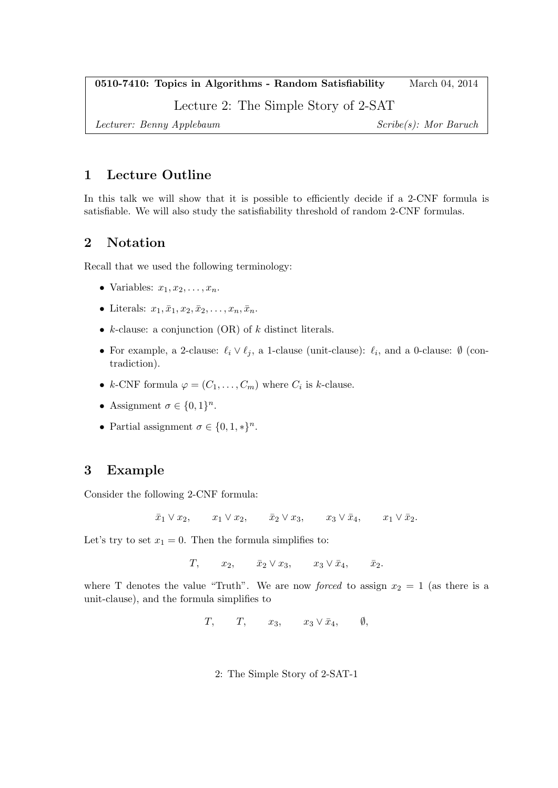0510-7410: Topics in Algorithms - Random Satisfiability March 04, 2014

Lecture 2: The Simple Story of 2-SAT

Lecturer: Benny Applebaum Scribe(s): Mor Baruch

## 1 Lecture Outline

In this talk we will show that it is possible to efficiently decide if a 2-CNF formula is satisfiable. We will also study the satisfiability threshold of random 2-CNF formulas.

## 2 Notation

Recall that we used the following terminology:

- Variables:  $x_1, x_2, \ldots, x_n$ .
- Literals:  $x_1, \overline{x}_1, x_2, \overline{x}_2, \ldots, x_n, \overline{x}_n$ .
- $k$ -clause: a conjunction (OR) of  $k$  distinct literals.
- For example, a 2-clause:  $\ell_i \vee \ell_j$ , a 1-clause (unit-clause):  $\ell_i$ , and a 0-clause: Ø (contradiction).
- k-CNF formula  $\varphi = (C_1, \ldots, C_m)$  where  $C_i$  is k-clause.
- Assignment  $\sigma \in \{0,1\}^n$ .
- Partial assignment  $\sigma \in \{0, 1, *\}^n$ .

# 3 Example

Consider the following 2-CNF formula:

 $\bar{x}_1 \vee x_2$ ,  $x_1 \vee x_2$ ,  $\bar{x}_2 \vee x_3$ ,  $x_3 \vee \bar{x}_4$ ,  $x_1 \vee \bar{x}_2$ .

Let's try to set  $x_1 = 0$ . Then the formula simplifies to:

 $T$ ,  $x_2$ ,  $\bar{x}_2 \vee x_3$ ,  $x_3 \vee \bar{x}_4$ ,  $\bar{x}_2$ .

where T denotes the value "Truth". We are now *forced* to assign  $x_2 = 1$  (as there is a unit-clause), and the formula simplifies to

 $T$ ,  $T$ ,  $x_3$ ,  $x_3 \vee \overline{x}_4$ ,  $\emptyset$ ,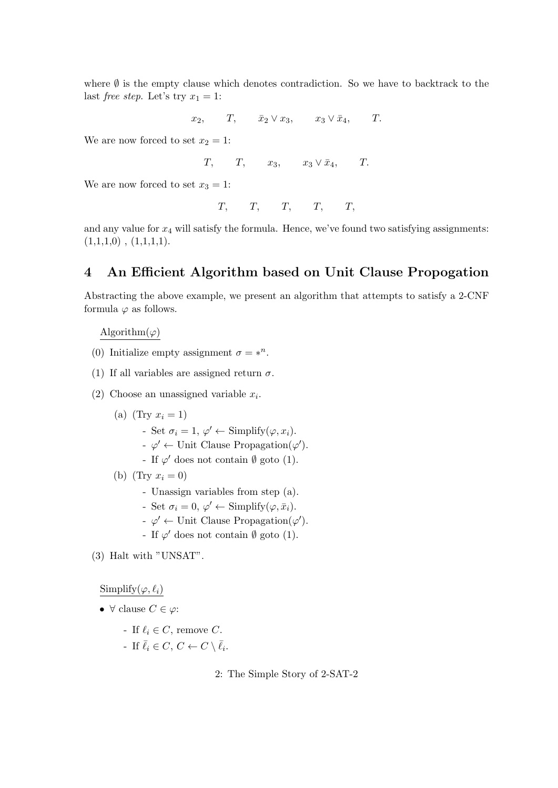where  $\emptyset$  is the empty clause which denotes contradiction. So we have to backtrack to the last *free step*. Let's try  $x_1 = 1$ :

 $x_2, T, \bar{x}_2 \vee x_3, x_3 \vee \bar{x}_4, T.$ 

We are now forced to set  $x_2 = 1$ :

 $T$ ,  $T$ ,  $x_3$ ,  $x_3 \vee \overline{x}_4$ ,  $T$ .

We are now forced to set  $x_3 = 1$ :

$$
T, \qquad T, \qquad T, \qquad T, \qquad T,
$$

and any value for  $x_4$  will satisfy the formula. Hence, we've found two satisfying assignments:  $(1,1,1,0)$ ,  $(1,1,1,1)$ .

### 4 An Efficient Algorithm based on Unit Clause Propogation

Abstracting the above example, we present an algorithm that attempts to satisfy a 2-CNF formula  $\varphi$  as follows.

#### Algorithm $(\varphi)$

- (0) Initialize empty assignment  $\sigma = *^n$ .
- (1) If all variables are assigned return  $\sigma$ .
- (2) Choose an unassigned variable  $x_i$ .
	- (a) (Try  $x_i = 1$ )
		- Set  $\sigma_i = 1, \varphi' \leftarrow$  Simplify $(\varphi, x_i)$ .
		- $\varphi' \leftarrow$  Unit Clause Propagation( $\varphi'$ ).
		- If  $\varphi'$  does not contain  $\emptyset$  goto (1).
	- (b) (Try  $x_i = 0$ )
		- Unassign variables from step (a).
		- Set  $\sigma_i = 0, \varphi' \leftarrow$  Simplify $(\varphi, \bar{x}_i)$ .
		- $\varphi' \leftarrow$  Unit Clause Propagation( $\varphi'$ ).
		- If  $\varphi'$  does not contain  $\emptyset$  goto (1).
- (3) Halt with "UNSAT".

Simplify( $\varphi, \ell_i$ )

- $\forall$  clause  $C \in \varphi$ :
	- If  $\ell_i \in C$ , remove C.
	- If  $\bar{\ell}_i \in C, C \leftarrow C \setminus \bar{\ell}_i$ .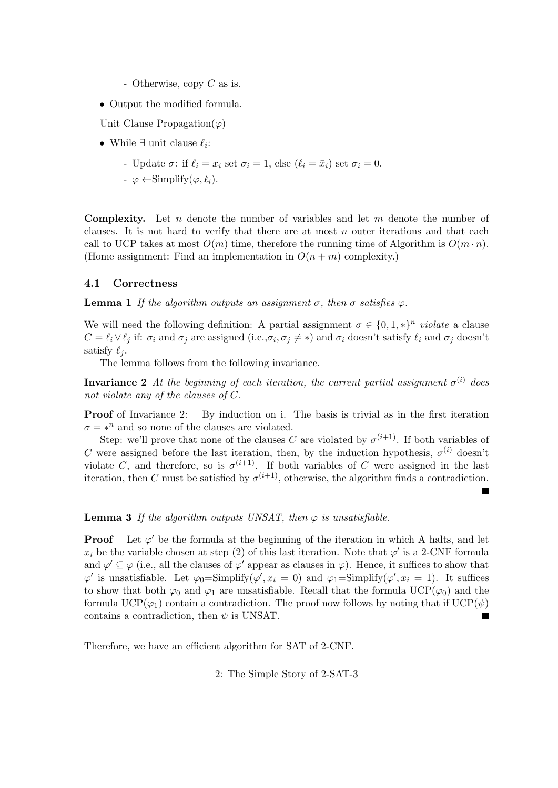- Otherwise, copy C as is.
- Output the modified formula.

Unit Clause Propagation( $\varphi$ )

- While  $\exists$  unit clause  $\ell_i$ :
	- Update  $\sigma$ : if  $\ell_i = x_i$  set  $\sigma_i = 1$ , else  $(\ell_i = \bar{x}_i)$  set  $\sigma_i = 0$ .
	- $\varphi \leftarrow$ Simplify $(\varphi, \ell_i)$ .

**Complexity.** Let n denote the number of variables and let m denote the number of clauses. It is not hard to verify that there are at most  $n$  outer iterations and that each call to UCP takes at most  $O(m)$  time, therefore the running time of Algorithm is  $O(m \cdot n)$ . (Home assignment: Find an implementation in  $O(n+m)$  complexity.)

#### 4.1 Correctness

**Lemma 1** If the algorithm outputs an assignment  $\sigma$ , then  $\sigma$  satisfies  $\varphi$ .

We will need the following definition: A partial assignment  $\sigma \in \{0,1,*\}^n$  violate a clause  $C = \ell_i \vee \ell_j$  if:  $\sigma_i$  and  $\sigma_j$  are assigned (i.e., $\sigma_i, \sigma_j \neq *)$  and  $\sigma_i$  doesn't satisfy  $\ell_i$  and  $\sigma_j$  doesn't satisfy  $\ell_i$ .

The lemma follows from the following invariance.

**Invariance 2** At the beginning of each iteration, the current partial assignment  $\sigma^{(i)}$  does not violate any of the clauses of C.

Proof of Invariance 2: By induction on i. The basis is trivial as in the first iteration  $\sigma = *^n$  and so none of the clauses are violated.

Step: we'll prove that none of the clauses C are violated by  $\sigma^{(i+1)}$ . If both variables of C were assigned before the last iteration, then, by the induction hypothesis,  $\sigma^{(i)}$  doesn't violate C, and therefore, so is  $\sigma^{(i+1)}$ . If both variables of C were assigned in the last iteration, then C must be satisfied by  $\sigma^{(i+1)}$ , otherwise, the algorithm finds a contradiction.

**Lemma 3** If the algorithm outputs UNSAT, then  $\varphi$  is unsatisfiable.

**Proof** Let  $\varphi'$  be the formula at the beginning of the iteration in which A halts, and let  $x_i$  be the variable chosen at step (2) of this last iteration. Note that  $\varphi'$  is a 2-CNF formula and  $\varphi' \subseteq \varphi$  (i.e., all the clauses of  $\varphi'$  appear as clauses in  $\varphi$ ). Hence, it suffices to show that  $\varphi'$  is unsatisfiable. Let  $\varphi_0 = \text{Simplify}(\varphi', x_i = 0)$  and  $\varphi_1 = \text{Simplify}(\varphi', x_i = 1)$ . It suffices to show that both  $\varphi_0$  and  $\varphi_1$  are unsatisfiable. Recall that the formula UCP( $\varphi_0$ ) and the formula UCP( $\varphi_1$ ) contain a contradiction. The proof now follows by noting that if UCP( $\psi$ ) contains a contradiction, then  $\psi$  is UNSAT.

Therefore, we have an efficient algorithm for SAT of 2-CNF.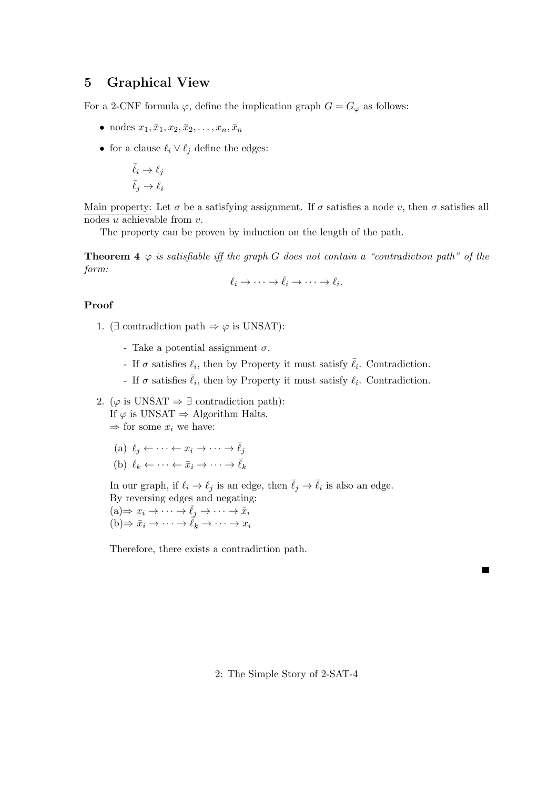### 5 Graphical View

For a 2-CNF formula  $\varphi$ , define the implication graph  $G = G_{\varphi}$  as follows:

- nodes  $x_1, \bar{x}_1, x_2, \bar{x}_2, \ldots, x_n, \bar{x}_n$
- for a clause  $\ell_i \vee \ell_j$  define the edges:

$$
\begin{aligned} \bar{\ell}_i &\rightarrow \ell_j \\ \bar{\ell}_j &\rightarrow \ell_i \end{aligned}
$$

Main property: Let  $\sigma$  be a satisfying assignment. If  $\sigma$  satisfies a node v, then  $\sigma$  satisfies all nodes u achievable from v.

The property can be proven by induction on the length of the path.

**Theorem 4**  $\varphi$  is satisfiable iff the graph G does not contain a "contradiction path" of the form:

$$
\ell_i \to \cdots \to \bar{\ell}_i \to \cdots \to \ell_i.
$$

#### Proof

- 1. ( $\exists$  contradiction path  $\Rightarrow \varphi$  is UNSAT):
	- Take a potential assignment  $\sigma$ .
	- If  $\sigma$  satisfies  $\ell_i$ , then by Property it must satisfy  $\bar{\ell}_i$ . Contradiction.
	- If  $\sigma$  satisfies  $\bar{\ell}_i$ , then by Property it must satisfy  $\ell_i$ . Contradiction.

2. ( $\varphi$  is UNSAT  $\Rightarrow \exists$  contradiction path): If  $\varphi$  is UNSAT  $\Rightarrow$  Algorithm Halts.  $\Rightarrow$  for some  $x_i$  we have:

- (a)  $\ell_i \leftarrow \cdots \leftarrow x_i \rightarrow \cdots \rightarrow \overline{\ell}_i$
- (b)  $\ell_k \leftarrow \cdots \leftarrow \bar{x}_i \rightarrow \cdots \rightarrow \bar{\ell}_k$

In our graph, if  $\ell_i \to \ell_j$  is an edge, then  $\bar{\ell}_j \to \bar{\ell}_i$  is also an edge.

By reversing edges and negating:  $(a) \Rightarrow x_i \to \cdots \to \overline{\ell}_j \to \cdots \to \overline{x}_i$  $(b) \Rightarrow \bar{x}_i \to \cdots \to \bar{\ell}_k \to \cdots \to x_i$ 

Therefore, there exists a contradiction path.